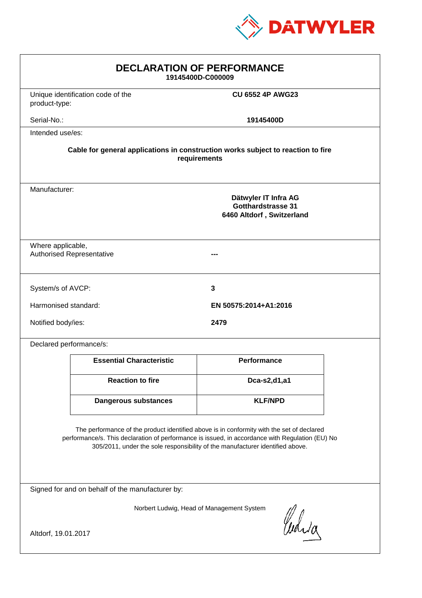

| <b>DECLARATION OF PERFORMANCE</b><br>19145400D-C000009                                                                                                                                                                                                                        |                                   |                         |  |
|-------------------------------------------------------------------------------------------------------------------------------------------------------------------------------------------------------------------------------------------------------------------------------|-----------------------------------|-------------------------|--|
| product-type:                                                                                                                                                                                                                                                                 | Unique identification code of the | <b>CU 6552 4P AWG23</b> |  |
| Serial-No.:                                                                                                                                                                                                                                                                   |                                   | 19145400D               |  |
| Intended use/es:                                                                                                                                                                                                                                                              |                                   |                         |  |
| Cable for general applications in construction works subject to reaction to fire<br>requirements                                                                                                                                                                              |                                   |                         |  |
| Manufacturer:<br>Dätwyler IT Infra AG<br>Gotthardstrasse 31<br>6460 Altdorf, Switzerland                                                                                                                                                                                      |                                   |                         |  |
| Where applicable,<br><b>Authorised Representative</b>                                                                                                                                                                                                                         |                                   |                         |  |
| System/s of AVCP:                                                                                                                                                                                                                                                             |                                   | 3                       |  |
| Harmonised standard:                                                                                                                                                                                                                                                          |                                   | EN 50575:2014+A1:2016   |  |
| Notified body/ies:                                                                                                                                                                                                                                                            |                                   | 2479                    |  |
| Declared performance/s:                                                                                                                                                                                                                                                       |                                   |                         |  |
|                                                                                                                                                                                                                                                                               | <b>Essential Characteristic</b>   | <b>Performance</b>      |  |
|                                                                                                                                                                                                                                                                               | <b>Reaction to fire</b>           | Dca-s2,d1,a1            |  |
|                                                                                                                                                                                                                                                                               | <b>Dangerous substances</b>       | <b>KLF/NPD</b>          |  |
| The performance of the product identified above is in conformity with the set of declared<br>performance/s. This declaration of performance is issued, in accordance with Regulation (EU) No<br>305/2011, under the sole responsibility of the manufacturer identified above. |                                   |                         |  |
| Signed for and on behalf of the manufacturer by:                                                                                                                                                                                                                              |                                   |                         |  |
| Norbert Ludwig, Head of Management System<br>Curia                                                                                                                                                                                                                            |                                   |                         |  |
| Altdorf, 19.01.2017                                                                                                                                                                                                                                                           |                                   |                         |  |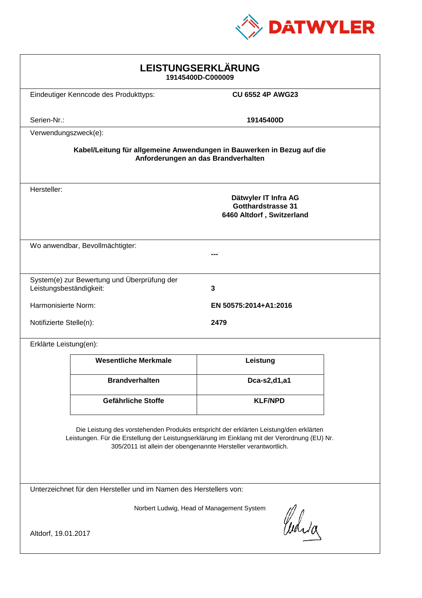

| LEISTUNGSERKLÄRUNG<br>19145400D-C000009                                                                                                                                                                                                                    |                                       |                                                                                |  |
|------------------------------------------------------------------------------------------------------------------------------------------------------------------------------------------------------------------------------------------------------------|---------------------------------------|--------------------------------------------------------------------------------|--|
|                                                                                                                                                                                                                                                            | Eindeutiger Kenncode des Produkttyps: | <b>CU 6552 4P AWG23</b>                                                        |  |
| Serien-Nr.:                                                                                                                                                                                                                                                |                                       | 19145400D                                                                      |  |
|                                                                                                                                                                                                                                                            | Verwendungszweck(e):                  |                                                                                |  |
| Kabel/Leitung für allgemeine Anwendungen in Bauwerken in Bezug auf die<br>Anforderungen an das Brandverhalten                                                                                                                                              |                                       |                                                                                |  |
| Hersteller:                                                                                                                                                                                                                                                |                                       | Dätwyler IT Infra AG<br><b>Gotthardstrasse 31</b><br>6460 Altdorf, Switzerland |  |
| Wo anwendbar, Bevollmächtigter:                                                                                                                                                                                                                            |                                       |                                                                                |  |
| System(e) zur Bewertung und Überprüfung der<br>Leistungsbeständigkeit:<br>3                                                                                                                                                                                |                                       |                                                                                |  |
| Harmonisierte Norm:<br>EN 50575:2014+A1:2016                                                                                                                                                                                                               |                                       |                                                                                |  |
| Notifizierte Stelle(n):<br>2479                                                                                                                                                                                                                            |                                       |                                                                                |  |
| Erklärte Leistung(en):                                                                                                                                                                                                                                     |                                       |                                                                                |  |
|                                                                                                                                                                                                                                                            | <b>Wesentliche Merkmale</b>           | Leistung                                                                       |  |
|                                                                                                                                                                                                                                                            | <b>Brandverhalten</b>                 | Dca-s2,d1,a1                                                                   |  |
|                                                                                                                                                                                                                                                            | Gefährliche Stoffe                    | <b>KLF/NPD</b>                                                                 |  |
| Die Leistung des vorstehenden Produkts entspricht der erklärten Leistung/den erklärten<br>Leistungen. Für die Erstellung der Leistungserklärung im Einklang mit der Verordnung (EU) Nr.<br>305/2011 ist allein der obengenannte Hersteller verantwortlich. |                                       |                                                                                |  |
| Unterzeichnet für den Hersteller und im Namen des Herstellers von:                                                                                                                                                                                         |                                       |                                                                                |  |
| Norbert Ludwig, Head of Management System<br>Curia<br>Altdorf, 19.01.2017                                                                                                                                                                                  |                                       |                                                                                |  |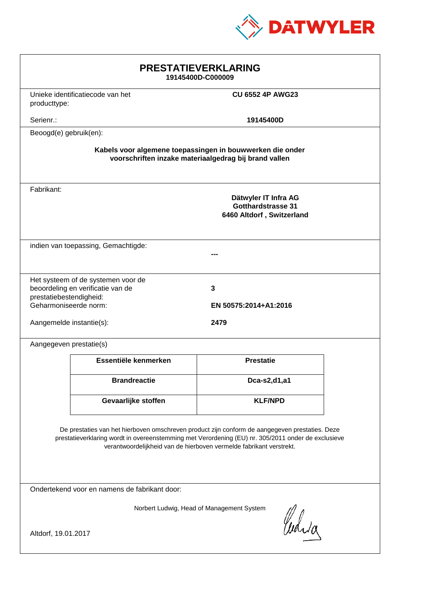

| <b>PRESTATIEVERKLARING</b><br>19145400D-C000009                                                                                                                                                                                                                             |                                                                             |                                    |  |
|-----------------------------------------------------------------------------------------------------------------------------------------------------------------------------------------------------------------------------------------------------------------------------|-----------------------------------------------------------------------------|------------------------------------|--|
|                                                                                                                                                                                                                                                                             | Unieke identificatiecode van het<br><b>CU 6552 4P AWG23</b><br>producttype: |                                    |  |
| Serienr.:                                                                                                                                                                                                                                                                   |                                                                             | 19145400D                          |  |
| Beoogd(e) gebruik(en):                                                                                                                                                                                                                                                      |                                                                             |                                    |  |
| Kabels voor algemene toepassingen in bouwwerken die onder<br>voorschriften inzake materiaalgedrag bij brand vallen                                                                                                                                                          |                                                                             |                                    |  |
| Fabrikant:<br>Dätwyler IT Infra AG<br><b>Gotthardstrasse 31</b><br>6460 Altdorf, Switzerland                                                                                                                                                                                |                                                                             |                                    |  |
| indien van toepassing, Gemachtigde:                                                                                                                                                                                                                                         |                                                                             |                                    |  |
| prestatiebestendigheid:<br>Geharmoniseerde norm:<br>Aangemelde instantie(s):                                                                                                                                                                                                | Het systeem of de systemen voor de<br>beoordeling en verificatie van de     | 3<br>EN 50575:2014+A1:2016<br>2479 |  |
| Aangegeven prestatie(s)                                                                                                                                                                                                                                                     |                                                                             |                                    |  |
|                                                                                                                                                                                                                                                                             | Essentiële kenmerken                                                        | <b>Prestatie</b>                   |  |
|                                                                                                                                                                                                                                                                             | <b>Brandreactie</b>                                                         | Dca-s2,d1,a1                       |  |
|                                                                                                                                                                                                                                                                             | Gevaarlijke stoffen                                                         | <b>KLF/NPD</b>                     |  |
| De prestaties van het hierboven omschreven product zijn conform de aangegeven prestaties. Deze<br>prestatieverklaring wordt in overeenstemming met Verordening (EU) nr. 305/2011 onder de exclusieve<br>verantwoordelijkheid van de hierboven vermelde fabrikant verstrekt. |                                                                             |                                    |  |
| Ondertekend voor en namens de fabrikant door:                                                                                                                                                                                                                               |                                                                             |                                    |  |
| Norbert Ludwig, Head of Management System<br>Curia<br>Altdorf, 19.01.2017                                                                                                                                                                                                   |                                                                             |                                    |  |
|                                                                                                                                                                                                                                                                             |                                                                             |                                    |  |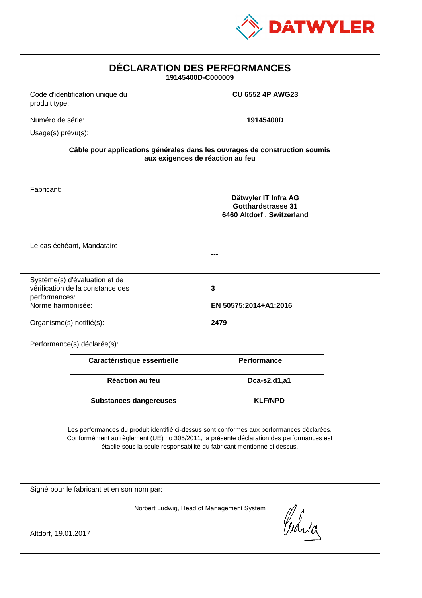

| DÉCLARATION DES PERFORMANCES<br>19145400D-C000009                                                                                                                                                                                                                |                                                                   |                                                                                |  |
|------------------------------------------------------------------------------------------------------------------------------------------------------------------------------------------------------------------------------------------------------------------|-------------------------------------------------------------------|--------------------------------------------------------------------------------|--|
| produit type:                                                                                                                                                                                                                                                    | Code d'identification unique du                                   | <b>CU 6552 4P AWG23</b>                                                        |  |
| Numéro de série:                                                                                                                                                                                                                                                 |                                                                   | 19145400D                                                                      |  |
| Usage(s) prévu(s):                                                                                                                                                                                                                                               |                                                                   |                                                                                |  |
| Câble pour applications générales dans les ouvrages de construction soumis<br>aux exigences de réaction au feu                                                                                                                                                   |                                                                   |                                                                                |  |
| Fabricant:                                                                                                                                                                                                                                                       |                                                                   | Dätwyler IT Infra AG<br><b>Gotthardstrasse 31</b><br>6460 Altdorf, Switzerland |  |
|                                                                                                                                                                                                                                                                  | Le cas échéant, Mandataire                                        |                                                                                |  |
| performances:<br>Norme harmonisée:<br>Organisme(s) notifié(s):                                                                                                                                                                                                   | Système(s) d'évaluation et de<br>vérification de la constance des | 3<br>EN 50575:2014+A1:2016<br>2479                                             |  |
|                                                                                                                                                                                                                                                                  | Performance(s) déclarée(s):                                       |                                                                                |  |
|                                                                                                                                                                                                                                                                  | Caractéristique essentielle                                       | <b>Performance</b>                                                             |  |
|                                                                                                                                                                                                                                                                  | Réaction au feu                                                   | Dca-s2,d1,a1                                                                   |  |
|                                                                                                                                                                                                                                                                  | <b>Substances dangereuses</b>                                     | <b>KLF/NPD</b>                                                                 |  |
| Les performances du produit identifié ci-dessus sont conformes aux performances déclarées.<br>Conformément au règlement (UE) no 305/2011, la présente déclaration des performances est<br>établie sous la seule responsabilité du fabricant mentionné ci-dessus. |                                                                   |                                                                                |  |
| Signé pour le fabricant et en son nom par:                                                                                                                                                                                                                       |                                                                   |                                                                                |  |
| Norbert Ludwig, Head of Management System<br>Curia<br>Altdorf, 19.01.2017                                                                                                                                                                                        |                                                                   |                                                                                |  |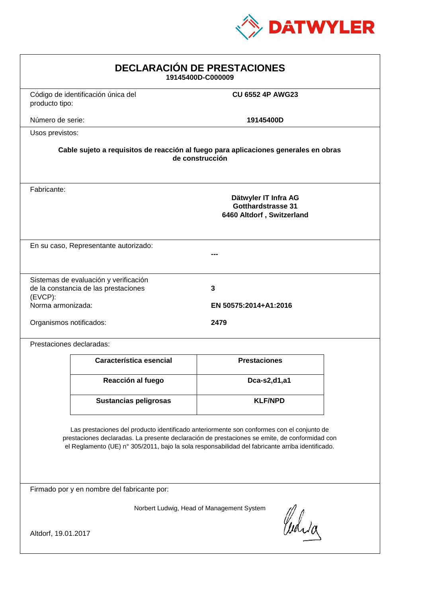

| <b>DECLARACIÓN DE PRESTACIONES</b><br>19145400D-C000009                                                                                                                                                                                                                                        |                                                                                |                            |  |
|------------------------------------------------------------------------------------------------------------------------------------------------------------------------------------------------------------------------------------------------------------------------------------------------|--------------------------------------------------------------------------------|----------------------------|--|
| producto tipo:                                                                                                                                                                                                                                                                                 | Código de identificación única del                                             | <b>CU 6552 4P AWG23</b>    |  |
| Número de serie:                                                                                                                                                                                                                                                                               |                                                                                | 19145400D                  |  |
| Usos previstos:                                                                                                                                                                                                                                                                                |                                                                                |                            |  |
| Cable sujeto a requisitos de reacción al fuego para aplicaciones generales en obras<br>de construcción                                                                                                                                                                                         |                                                                                |                            |  |
| Fabricante:                                                                                                                                                                                                                                                                                    | Dätwyler IT Infra AG<br><b>Gotthardstrasse 31</b><br>6460 Altdorf, Switzerland |                            |  |
| En su caso, Representante autorizado:                                                                                                                                                                                                                                                          |                                                                                |                            |  |
| $(EVCP)$ :<br>Norma armonizada:                                                                                                                                                                                                                                                                | Sistemas de evaluación y verificación<br>de la constancia de las prestaciones  | 3<br>EN 50575:2014+A1:2016 |  |
| Organismos notificados:<br>2479                                                                                                                                                                                                                                                                |                                                                                |                            |  |
|                                                                                                                                                                                                                                                                                                | Prestaciones declaradas:                                                       |                            |  |
|                                                                                                                                                                                                                                                                                                | Característica esencial                                                        | <b>Prestaciones</b>        |  |
|                                                                                                                                                                                                                                                                                                | Reacción al fuego                                                              | Dca-s2,d1,a1               |  |
|                                                                                                                                                                                                                                                                                                | <b>Sustancias peligrosas</b>                                                   | <b>KLF/NPD</b>             |  |
| Las prestaciones del producto identificado anteriormente son conformes con el conjunto de<br>prestaciones declaradas. La presente declaración de prestaciones se emite, de conformidad con<br>el Reglamento (UE) nº 305/2011, bajo la sola responsabilidad del fabricante arriba identificado. |                                                                                |                            |  |
| Firmado por y en nombre del fabricante por:                                                                                                                                                                                                                                                    |                                                                                |                            |  |
| Norbert Ludwig, Head of Management System<br>Curia                                                                                                                                                                                                                                             |                                                                                |                            |  |
| Altdorf, 19.01.2017                                                                                                                                                                                                                                                                            |                                                                                |                            |  |